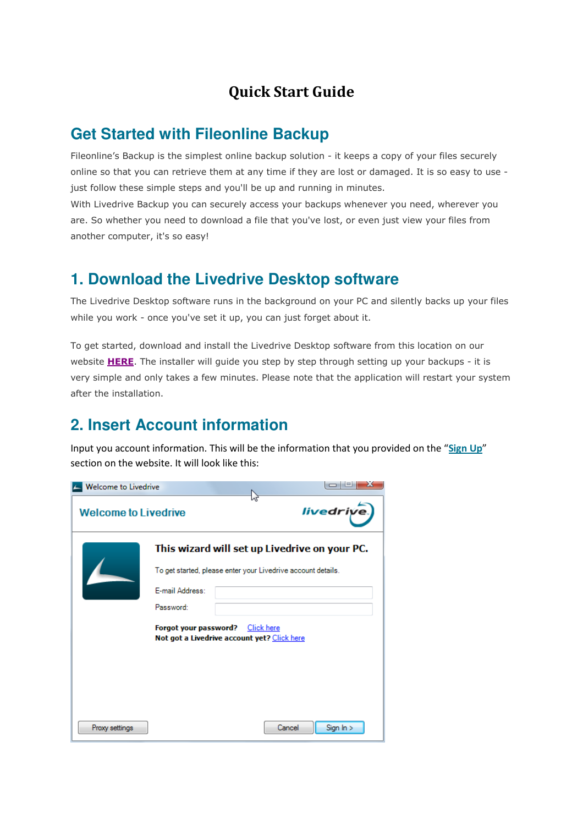#### Quick Start Guide

#### **Get Started with Fileonline Backup**

Fileonline's Backup is the simplest online backup solution - it keeps a copy of your files securely online so that you can retrieve them at any time if they are lost or damaged. It is so easy to use just follow these simple steps and you'll be up and running in minutes.

With Livedrive Backup you can securely access your backups whenever you need, wherever you are. So whether you need to download a file that you've lost, or even just view your files from another computer, it's so easy!

#### **1. Download the Livedrive Desktop software**

The Livedrive Desktop software runs in the background on your PC and silently backs up your files while you work - once you've set it up, you can just forget about it.

To get started, download and install the Livedrive Desktop software from this location on our website **HERE**. The installer will guide you step by step through setting up your backups - it is very simple and only takes a few minutes. Please note that the application will restart your system after the installation.

### **2. Insert Account information**

Input you account information. This will be the information that you provided on the "Sign Up" section on the website. It will look like this:

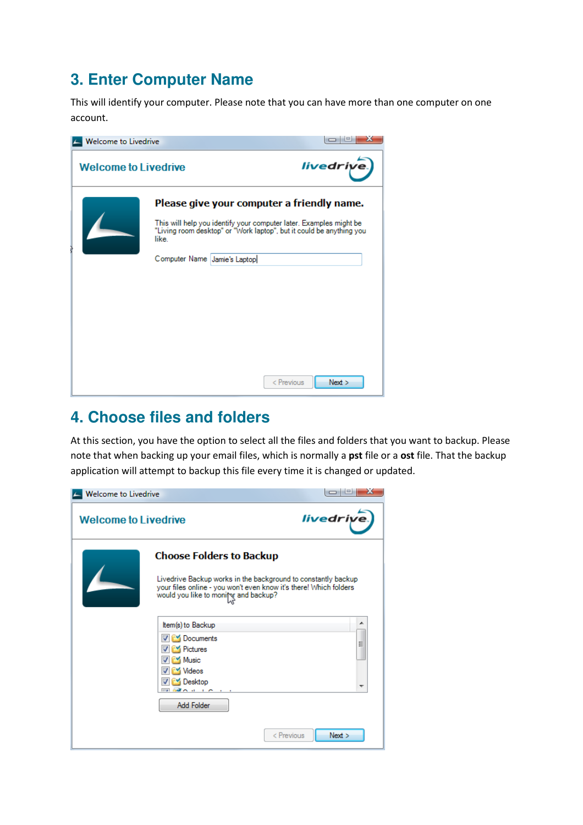# **3. Enter Computer Name**

This will identify your computer. Please note that you can have more than one computer on one account.



## **4. Choose files and folders**

At this section, you have the option to select all the files and folders that you want to backup. Please note that when backing up your email files, which is normally a pst file or a ost file. That the backup application will attempt to backup this file every time it is changed or updated.

| Welcome to Livedrive        |                                                                                                                                                                                                               |                    |
|-----------------------------|---------------------------------------------------------------------------------------------------------------------------------------------------------------------------------------------------------------|--------------------|
| <b>Welcome to Livedrive</b> |                                                                                                                                                                                                               | livedrive.         |
|                             | <b>Choose Folders to Backup</b><br>Livedrive Backup works in the background to constantly backup<br>your files online - you won't even know it's there! Which folders<br>would you like to monity and backup? |                    |
|                             | Item(s) to Backup<br><b>Documents</b><br><b>V</b> Pictures<br><b>EXI Music</b><br>iri⊻ Videos<br><b>PM</b> Desktop<br><b>EXECUTIVE CONTRACTOR</b><br>Add Folder                                               | ▲<br>Ξ             |
|                             |                                                                                                                                                                                                               | Next<br>< Previous |